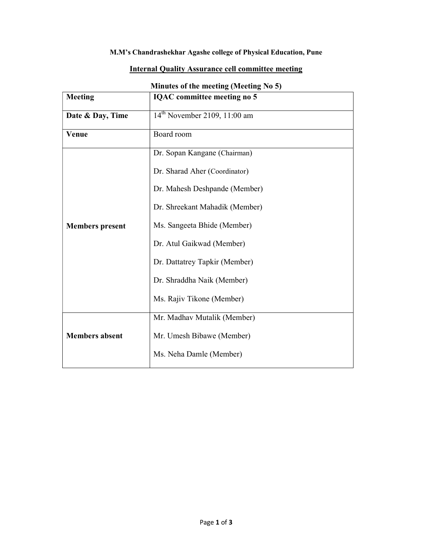## M.M's Chandrashekhar Agashe college of Physical Education, Pune

## Internal Quality Assurance cell committee meeting

| $m_{\rm H}$ and $m_{\rm H}$ is a setting $m_{\rm H}$ and $m_{\rm H}$ |                                    |  |  |
|----------------------------------------------------------------------|------------------------------------|--|--|
| <b>Meeting</b>                                                       | <b>IQAC</b> committee meeting no 5 |  |  |
| Date & Day, Time                                                     | $14^{th}$ November 2109, 11:00 am  |  |  |
| Venue                                                                | Board room                         |  |  |
|                                                                      | Dr. Sopan Kangane (Chairman)       |  |  |
|                                                                      | Dr. Sharad Aher (Coordinator)      |  |  |
|                                                                      | Dr. Mahesh Deshpande (Member)      |  |  |
|                                                                      | Dr. Shreekant Mahadik (Member)     |  |  |
| <b>Members</b> present                                               | Ms. Sangeeta Bhide (Member)        |  |  |
|                                                                      | Dr. Atul Gaikwad (Member)          |  |  |
|                                                                      | Dr. Dattatrey Tapkir (Member)      |  |  |
|                                                                      | Dr. Shraddha Naik (Member)         |  |  |
|                                                                      | Ms. Rajiv Tikone (Member)          |  |  |
| <b>Members absent</b>                                                | Mr. Madhav Mutalik (Member)        |  |  |
|                                                                      | Mr. Umesh Bibawe (Member)          |  |  |
|                                                                      | Ms. Neha Damle (Member)            |  |  |
|                                                                      |                                    |  |  |

## Minutes of the meeting (Meeting No 5)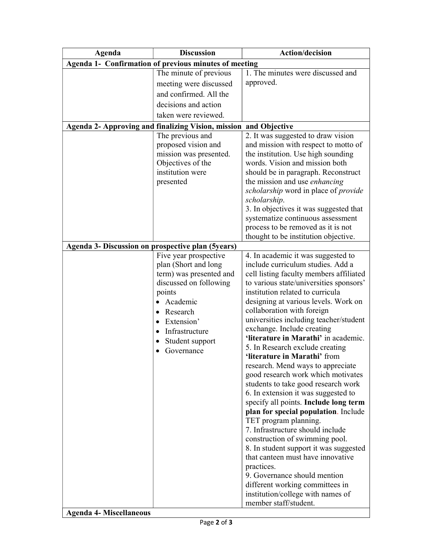| Agenda                                            | <b>Discussion</b>                                                | <b>Action/decision</b>                                               |
|---------------------------------------------------|------------------------------------------------------------------|----------------------------------------------------------------------|
|                                                   | Agenda 1- Confirmation of previous minutes of meeting            |                                                                      |
|                                                   | The minute of previous                                           | 1. The minutes were discussed and                                    |
|                                                   | meeting were discussed                                           | approved.                                                            |
|                                                   | and confirmed. All the                                           |                                                                      |
|                                                   | decisions and action                                             |                                                                      |
|                                                   | taken were reviewed.                                             |                                                                      |
|                                                   | Agenda 2- Approving and finalizing Vision, mission and Objective |                                                                      |
|                                                   | The previous and                                                 | 2. It was suggested to draw vision                                   |
|                                                   | proposed vision and                                              | and mission with respect to motto of                                 |
|                                                   | mission was presented.                                           | the institution. Use high sounding                                   |
|                                                   | Objectives of the                                                | words. Vision and mission both                                       |
|                                                   | institution were                                                 | should be in paragraph. Reconstruct                                  |
|                                                   | presented                                                        | the mission and use <i>enhancing</i>                                 |
|                                                   |                                                                  | scholarship word in place of provide                                 |
|                                                   |                                                                  | scholarship.                                                         |
|                                                   |                                                                  | 3. In objectives it was suggested that                               |
|                                                   |                                                                  | systematize continuous assessment                                    |
|                                                   |                                                                  | process to be removed as it is not                                   |
|                                                   |                                                                  | thought to be institution objective.                                 |
| Agenda 3- Discussion on prospective plan (5years) |                                                                  |                                                                      |
|                                                   | Five year prospective                                            | 4. In academic it was suggested to                                   |
|                                                   | plan (Short and long                                             | include curriculum studies. Add a                                    |
|                                                   | term) was presented and                                          | cell listing faculty members affiliated                              |
|                                                   | discussed on following                                           | to various state/universities sponsors'                              |
|                                                   | points                                                           | institution related to curricula                                     |
|                                                   | Academic                                                         | designing at various levels. Work on                                 |
|                                                   | Research<br>$\bullet$                                            | collaboration with foreign                                           |
|                                                   | Extension'<br>$\bullet$                                          | universities including teacher/student<br>exchange. Include creating |
|                                                   | Infrastructure                                                   | 'literature in Marathi' in academic.                                 |
|                                                   | Student support<br>٠                                             | 5. In Research exclude creating                                      |
|                                                   | Governance                                                       | 'literature in Marathi' from                                         |
|                                                   |                                                                  | research. Mend ways to appreciate                                    |
|                                                   |                                                                  | good research work which motivates                                   |
|                                                   |                                                                  | students to take good research work                                  |
|                                                   |                                                                  | 6. In extension it was suggested to                                  |
|                                                   |                                                                  | specify all points. Include long term                                |
|                                                   |                                                                  | plan for special population. Include                                 |
|                                                   |                                                                  | TET program planning.                                                |
|                                                   |                                                                  | 7. Infrastructure should include                                     |
|                                                   |                                                                  | construction of swimming pool.                                       |
|                                                   |                                                                  | 8. In student support it was suggested                               |
|                                                   |                                                                  | that canteen must have innovative                                    |
|                                                   |                                                                  | practices.                                                           |
|                                                   |                                                                  | 9. Governance should mention                                         |
|                                                   |                                                                  | different working committees in                                      |
|                                                   |                                                                  | institution/college with names of                                    |
|                                                   |                                                                  | member staff/student.                                                |

 $\overline{\phantom{a}}$